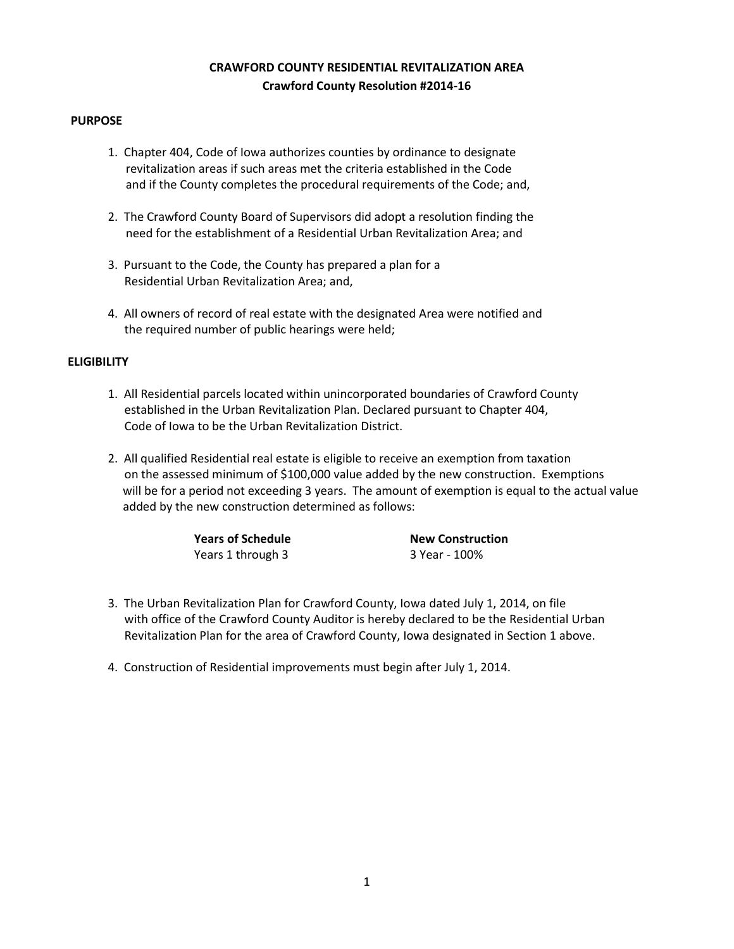# **CRAWFORD COUNTY RESIDENTIAL REVITALIZATION AREA Crawford County Resolution #2014-16**

### **PURPOSE**

- 1. Chapter 404, Code of Iowa authorizes counties by ordinance to designate revitalization areas if such areas met the criteria established in the Code and if the County completes the procedural requirements of the Code; and,
- 2. The Crawford County Board of Supervisors did adopt a resolution finding the need for the establishment of a Residential Urban Revitalization Area; and
- 3. Pursuant to the Code, the County has prepared a plan for a Residential Urban Revitalization Area; and,
- 4. All owners of record of real estate with the designated Area were notified and the required number of public hearings were held;

## **ELIGIBILITY**

- 1. All Residential parcels located within unincorporated boundaries of Crawford County established in the Urban Revitalization Plan. Declared pursuant to Chapter 404, Code of Iowa to be the Urban Revitalization District.
- 2. All qualified Residential real estate is eligible to receive an exemption from taxation on the assessed minimum of \$100,000 value added by the new construction. Exemptions will be for a period not exceeding 3 years. The amount of exemption is equal to the actual value added by the new construction determined as follows:

| <b>Years of Schedule</b> | <b>New Construction</b> |
|--------------------------|-------------------------|
| Years 1 through 3        | 3 Year - 100%           |

- 3. The Urban Revitalization Plan for Crawford County, Iowa dated July 1, 2014, on file with office of the Crawford County Auditor is hereby declared to be the Residential Urban Revitalization Plan for the area of Crawford County, Iowa designated in Section 1 above.
- 4. Construction of Residential improvements must begin after July 1, 2014.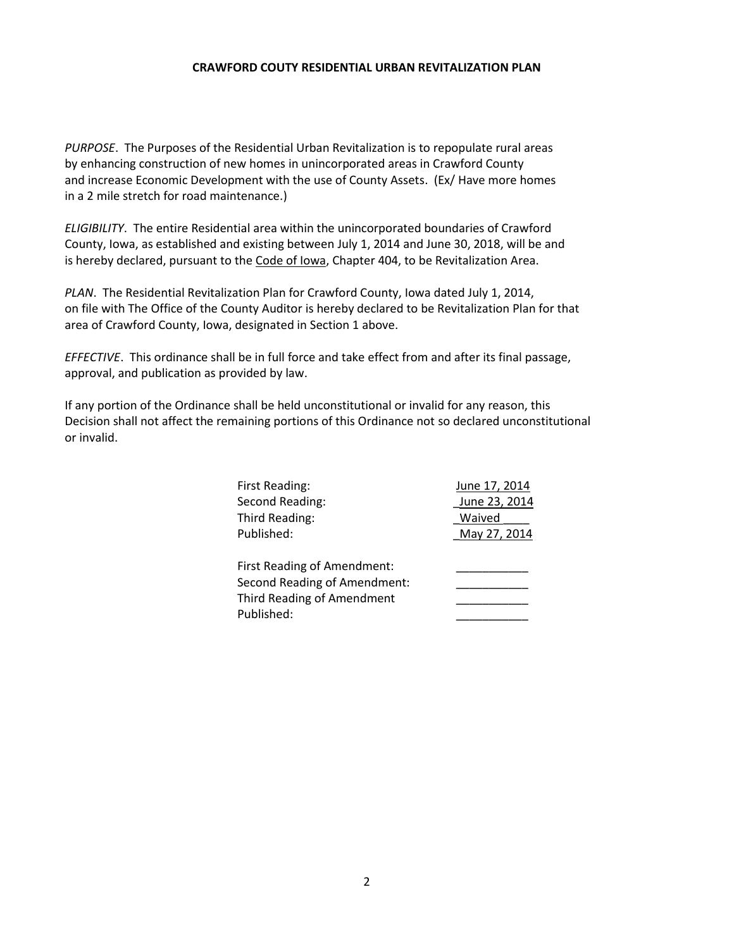#### **CRAWFORD COUTY RESIDENTIAL URBAN REVITALIZATION PLAN**

*PURPOSE*. The Purposes of the Residential Urban Revitalization is to repopulate rural areas by enhancing construction of new homes in unincorporated areas in Crawford County and increase Economic Development with the use of County Assets. (Ex/ Have more homes in a 2 mile stretch for road maintenance.)

*ELIGIBILITY*. The entire Residential area within the unincorporated boundaries of Crawford County, Iowa, as established and existing between July 1, 2014 and June 30, 2018, will be and is hereby declared, pursuant to the Code of Iowa, Chapter 404, to be Revitalization Area.

*PLAN*. The Residential Revitalization Plan for Crawford County, Iowa dated July 1, 2014, on file with The Office of the County Auditor is hereby declared to be Revitalization Plan for that area of Crawford County, Iowa, designated in Section 1 above.

*EFFECTIVE*. This ordinance shall be in full force and take effect from and after its final passage, approval, and publication as provided by law.

If any portion of the Ordinance shall be held unconstitutional or invalid for any reason, this Decision shall not affect the remaining portions of this Ordinance not so declared unconstitutional or invalid.

| First Reading:               | June 17, 2014 |
|------------------------------|---------------|
| Second Reading:              | June 23, 2014 |
| Third Reading:               | Waived        |
| Published:                   | May 27, 2014  |
|                              |               |
| First Reading of Amendment:  |               |
| Second Reading of Amendment: |               |
| Third Reading of Amendment   |               |
| Published:                   |               |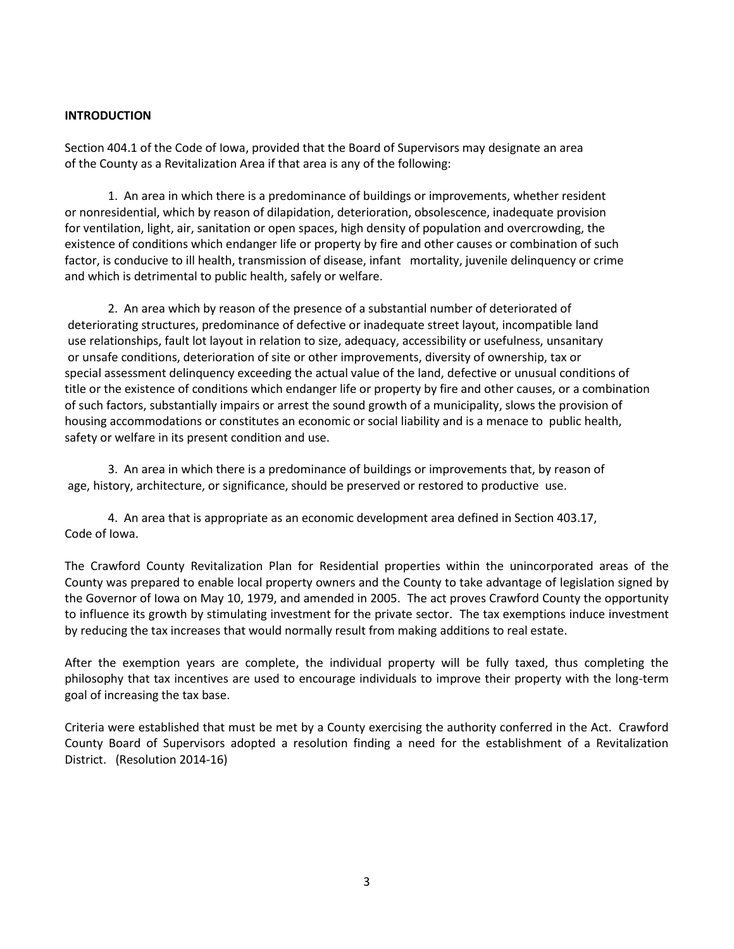## **INTRODUCTION**

Section 404.1 of the Code of Iowa, provided that the Board of Supervisors may designate an area of the County as a Revitalization Area if that area is any of the following:

1. An area in which there is a predominance of buildings or improvements, whether resident or nonresidential, which by reason of dilapidation, deterioration, obsolescence, inadequate provision for ventilation, light, air, sanitation or open spaces, high density of population and overcrowding, the existence of conditions which endanger life or property by fire and other causes or combination of such factor, is conducive to ill health, transmission of disease, infant mortality, juvenile delinquency or crime and which is detrimental to public health, safely or welfare.

2. An area which by reason of the presence of a substantial number of deteriorated of deteriorating structures, predominance of defective or inadequate street layout, incompatible land use relationships, fault lot layout in relation to size, adequacy, accessibility or usefulness, unsanitary or unsafe conditions, deterioration of site or other improvements, diversity of ownership, tax or special assessment delinquency exceeding the actual value of the land, defective or unusual conditions of title or the existence of conditions which endanger life or property by fire and other causes, or a combination of such factors, substantially impairs or arrest the sound growth of a municipality, slows the provision of housing accommodations or constitutes an economic or social liability and is a menace to public health, safety or welfare in its present condition and use.

3. An area in which there is a predominance of buildings or improvements that, by reason of age, history, architecture, or significance, should be preserved or restored to productive use.

4. An area that is appropriate as an economic development area defined in Section 403.17, Code of Iowa.

The Crawford County Revitalization Plan for Residential properties within the unincorporated areas of the County was prepared to enable local property owners and the County to take advantage of legislation signed by the Governor of Iowa on May 10, 1979, and amended in 2005. The act proves Crawford County the opportunity to influence its growth by stimulating investment for the private sector. The tax exemptions induce investment by reducing the tax increases that would normally result from making additions to real estate.

After the exemption years are complete, the individual property will be fully taxed, thus completing the philosophy that tax incentives are used to encourage individuals to improve their property with the long-term goal of increasing the tax base.

Criteria were established that must be met by a County exercising the authority conferred in the Act. Crawford County Board of Supervisors adopted a resolution finding a need for the establishment of a Revitalization District. (Resolution 2014-16)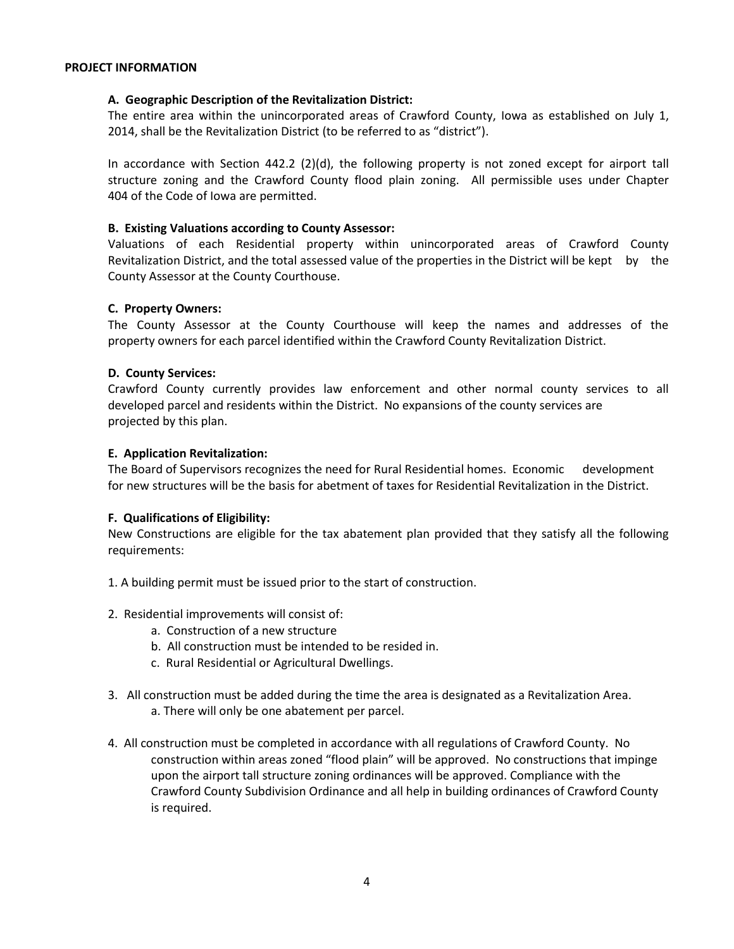#### **PROJECT INFORMATION**

#### **A. Geographic Description of the Revitalization District:**

The entire area within the unincorporated areas of Crawford County, Iowa as established on July 1, 2014, shall be the Revitalization District (to be referred to as "district").

In accordance with Section 442.2 (2)(d), the following property is not zoned except for airport tall structure zoning and the Crawford County flood plain zoning. All permissible uses under Chapter 404 of the Code of Iowa are permitted.

#### **B. Existing Valuations according to County Assessor:**

Valuations of each Residential property within unincorporated areas of Crawford County Revitalization District, and the total assessed value of the properties in the District will be kept by the County Assessor at the County Courthouse.

#### **C. Property Owners:**

The County Assessor at the County Courthouse will keep the names and addresses of the property owners for each parcel identified within the Crawford County Revitalization District.

#### **D. County Services:**

Crawford County currently provides law enforcement and other normal county services to all developed parcel and residents within the District. No expansions of the county services are projected by this plan.

#### **E. Application Revitalization:**

The Board of Supervisors recognizes the need for Rural Residential homes. Economic development for new structures will be the basis for abetment of taxes for Residential Revitalization in the District.

## **F. Qualifications of Eligibility:**

New Constructions are eligible for the tax abatement plan provided that they satisfy all the following requirements:

- 1. A building permit must be issued prior to the start of construction.
- 2. Residential improvements will consist of:
	- a. Construction of a new structure
	- b. All construction must be intended to be resided in.
	- c. Rural Residential or Agricultural Dwellings.
- 3. All construction must be added during the time the area is designated as a Revitalization Area. a. There will only be one abatement per parcel.
- 4. All construction must be completed in accordance with all regulations of Crawford County. No construction within areas zoned "flood plain" will be approved. No constructions that impinge upon the airport tall structure zoning ordinances will be approved. Compliance with the Crawford County Subdivision Ordinance and all help in building ordinances of Crawford County is required.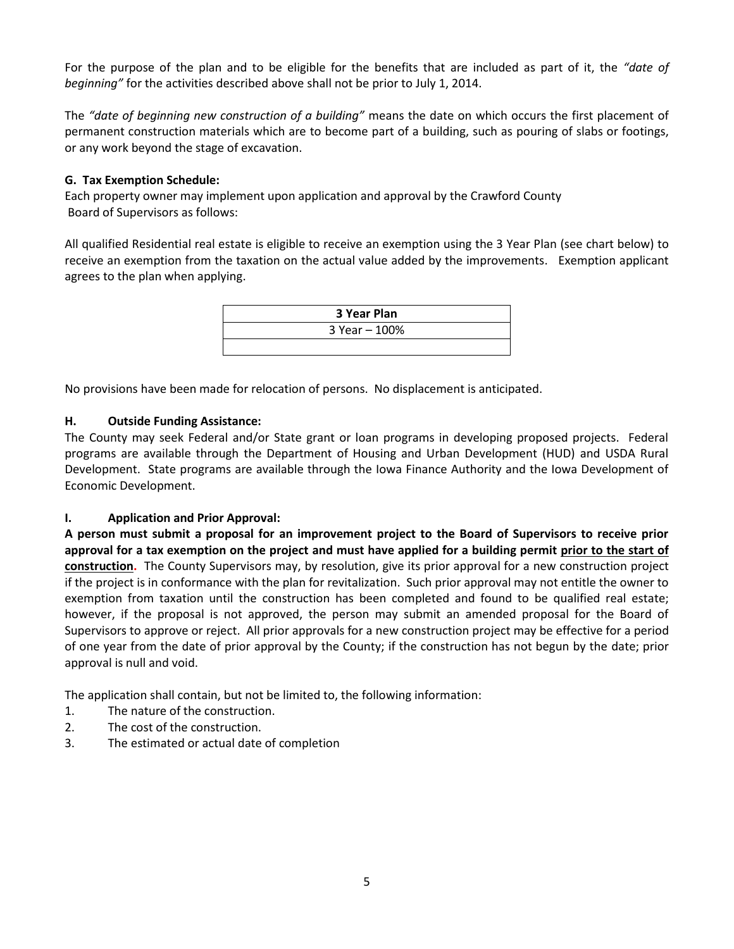For the purpose of the plan and to be eligible for the benefits that are included as part of it, the *"date of beginning"* for the activities described above shall not be prior to July 1, 2014.

The *"date of beginning new construction of a building"* means the date on which occurs the first placement of permanent construction materials which are to become part of a building, such as pouring of slabs or footings, or any work beyond the stage of excavation.

# **G. Tax Exemption Schedule:**

Each property owner may implement upon application and approval by the Crawford County Board of Supervisors as follows:

All qualified Residential real estate is eligible to receive an exemption using the 3 Year Plan (see chart below) to receive an exemption from the taxation on the actual value added by the improvements. Exemption applicant agrees to the plan when applying.

| 3 Year Plan   |  |
|---------------|--|
| 3 Year - 100% |  |
|               |  |

No provisions have been made for relocation of persons. No displacement is anticipated.

# **H. Outside Funding Assistance:**

The County may seek Federal and/or State grant or loan programs in developing proposed projects. Federal programs are available through the Department of Housing and Urban Development (HUD) and USDA Rural Development. State programs are available through the Iowa Finance Authority and the Iowa Development of Economic Development.

# **I. Application and Prior Approval:**

**A person must submit a proposal for an improvement project to the Board of Supervisors to receive prior approval for a tax exemption on the project and must have applied for a building permit prior to the start of construction.** The County Supervisors may, by resolution, give its prior approval for a new construction project if the project is in conformance with the plan for revitalization. Such prior approval may not entitle the owner to exemption from taxation until the construction has been completed and found to be qualified real estate; however, if the proposal is not approved, the person may submit an amended proposal for the Board of Supervisors to approve or reject. All prior approvals for a new construction project may be effective for a period of one year from the date of prior approval by the County; if the construction has not begun by the date; prior approval is null and void.

The application shall contain, but not be limited to, the following information:

- 1. The nature of the construction.
- 2. The cost of the construction.
- 3. The estimated or actual date of completion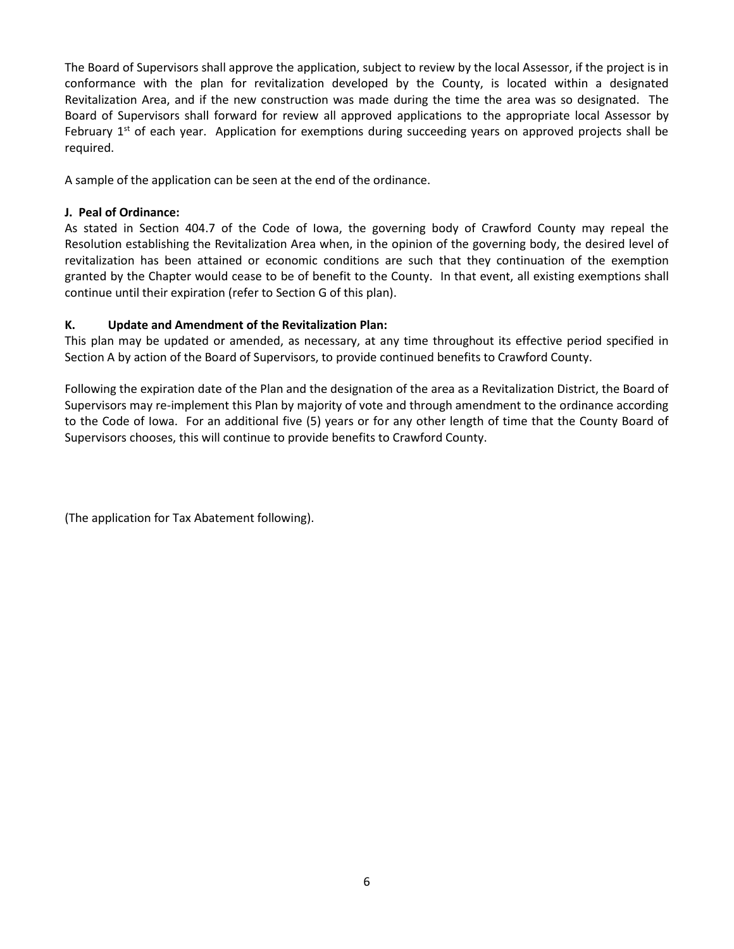The Board of Supervisors shall approve the application, subject to review by the local Assessor, if the project is in conformance with the plan for revitalization developed by the County, is located within a designated Revitalization Area, and if the new construction was made during the time the area was so designated. The Board of Supervisors shall forward for review all approved applications to the appropriate local Assessor by February  $1<sup>st</sup>$  of each year. Application for exemptions during succeeding years on approved projects shall be required.

A sample of the application can be seen at the end of the ordinance.

## **J. Peal of Ordinance:**

As stated in Section 404.7 of the Code of Iowa, the governing body of Crawford County may repeal the Resolution establishing the Revitalization Area when, in the opinion of the governing body, the desired level of revitalization has been attained or economic conditions are such that they continuation of the exemption granted by the Chapter would cease to be of benefit to the County. In that event, all existing exemptions shall continue until their expiration (refer to Section G of this plan).

# **K. Update and Amendment of the Revitalization Plan:**

This plan may be updated or amended, as necessary, at any time throughout its effective period specified in Section A by action of the Board of Supervisors, to provide continued benefits to Crawford County.

Following the expiration date of the Plan and the designation of the area as a Revitalization District, the Board of Supervisors may re-implement this Plan by majority of vote and through amendment to the ordinance according to the Code of Iowa. For an additional five (5) years or for any other length of time that the County Board of Supervisors chooses, this will continue to provide benefits to Crawford County.

(The application for Tax Abatement following).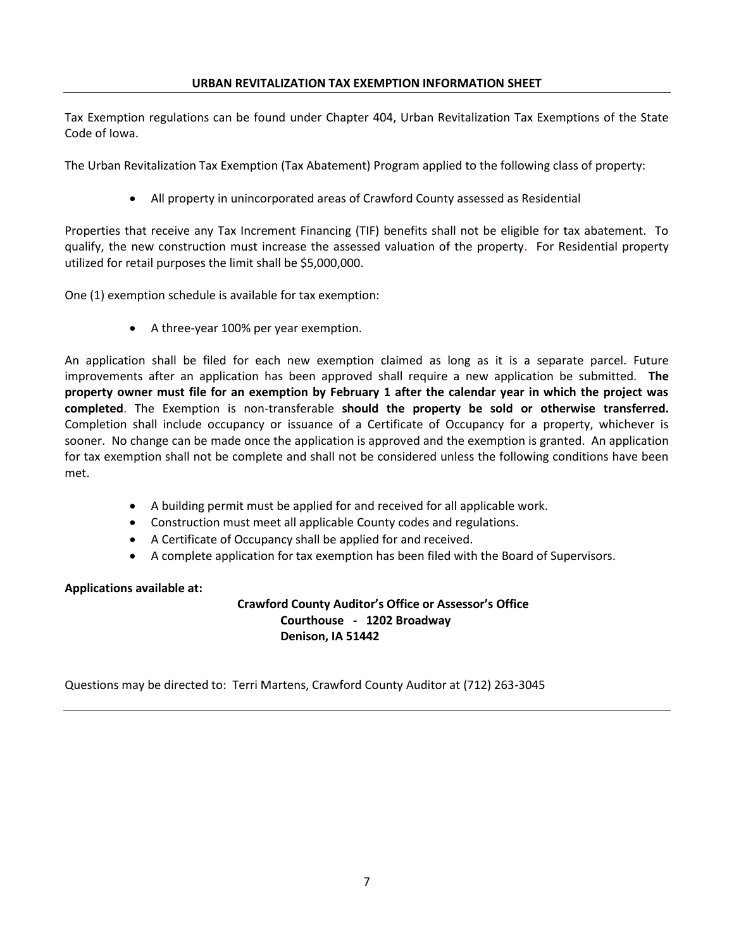Tax Exemption regulations can be found under Chapter 404, Urban Revitalization Tax Exemptions of the State Code of Iowa.

The Urban Revitalization Tax Exemption (Tax Abatement) Program applied to the following class of property:

All property in unincorporated areas of Crawford County assessed as Residential

Properties that receive any Tax Increment Financing (TIF) benefits shall not be eligible for tax abatement. To qualify, the new construction must increase the assessed valuation of the property. For Residential property utilized for retail purposes the limit shall be \$5,000,000.

One (1) exemption schedule is available for tax exemption:

A three-year 100% per year exemption.

An application shall be filed for each new exemption claimed as long as it is a separate parcel. Future improvements after an application has been approved shall require a new application be submitted. **The property owner must file for an exemption by February 1 after the calendar year in which the project was completed**. The Exemption is non-transferable **should the property be sold or otherwise transferred.** Completion shall include occupancy or issuance of a Certificate of Occupancy for a property, whichever is sooner. No change can be made once the application is approved and the exemption is granted. An application for tax exemption shall not be complete and shall not be considered unless the following conditions have been met.

- A building permit must be applied for and received for all applicable work.
- Construction must meet all applicable County codes and regulations.
- A Certificate of Occupancy shall be applied for and received.
- A complete application for tax exemption has been filed with the Board of Supervisors.

## **Applications available at:**

**Crawford County Auditor's Office or Assessor's Office Courthouse - 1202 Broadway Denison, IA 51442**

Questions may be directed to: Terri Martens, Crawford County Auditor at (712) 263-3045